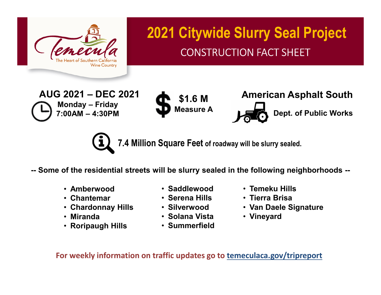

## **2021 Citywide Slurry Seal Project** CONSTRUCTION FACT SHEET

**AUG 2021 – DEC 2021 Monday – Friday 7:00AM – 4:30PM**





**7.4 Million Square Feet of roadway will be slurry sealed.**

**-- Some of the residential streets will be slurry sealed in the following neighborhoods --**

- **Amberwood**
- **Chantemar**
- **Chardonnay Hills**
- **Miranda**
- **Roripaugh Hills**
- **Saddlewood**
- **Serena Hills**
- **Silverwood**
- **Solana Vista**
- **Summerfield**
- **Temeku Hills**
- **Tierra Brisa**
- **Van Daele Signature**
- **Vineyard**

**For weekly information on traffic updates go to temeculaca.gov/tripreport**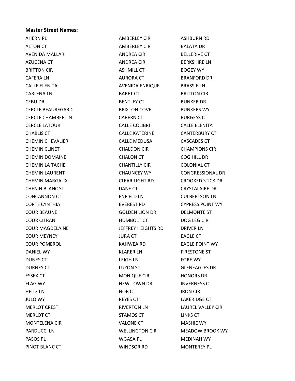## Master Street Names:

AHERN PL **AMBERLEY CIR** AMBERLEY CIR ASHBURN RD ALTON CT AMBERLEY CIR BALATA DR AVENIDA MALLARI ANDREA CIR BELLERIVE CT AZUCENA CT **ANDREA CIR** BERKSHIRE LN BRITTON CIR **BRITTON CIR** ASHMILL CT BOGEY WY CAFERA LN **AURORA CT** BRANFORD DR CALLE ELENITA AVENIDA ENRIQUE BRASSIE LN CARLENA LN BARET CT BRITTON CIR CEBU DR BENTLEY CT BUNKER DR CERCLE BEAUREGARD BRIXTON COVE BUNKERS WY CERCLE CHAMBERTIN CABERN CT BURGESS CT CERCLE LATOUR CALLE COLIBRI CALLE ELENITA CHABLIS CT CALLE KATERINE CANTERBURY CT CHEMIN CHEVALIER CALLE MEDUSA CASCADES CT CHEMIN CLINET CHALDON CIR CHAMPIONS CIR CHEMIN DOMAINE CHALON CT COG HILL DR CHEMIN LA TACHE CHANTILLY CIR COLONIAL CT CHEMIN LAURENT CHAUNCEY WY CONGRESSIONAL DR CHEMIN MARGAUX CLEAR LIGHT RD CROOKED STICK DR CHENIN BLANC ST DANE CT CRYSTALAIRE DR CONCANNON CT ENFIELD LN CULBERTSON LN CORTE CYNTHIA EVEREST RD CYPRESS POINT WY COUR BEAUNE GOLDEN LION DR DELMONTE ST COUR CITRAN HUMBOLT CT DOG LEG CIR COUR MAGDELAINE JEFFREY HEIGHTS RD DRIVER LN COUR MEYNEY JURA CT EAGLE CT COUR POMEROL KAHWEA RD EAGLE POINT WY DANIEL WY KLARER LN FIRESTONE ST DUNES CT **EXECUTE CONTROLLETE CONTROLLETE CONTROLLET CONTROLLET CONTROLLET CONTROLLET CONTROLLET CONTROLLET CONTROLLET CONTROLLET CONTROLLET CONTROLLET CONTROLLET CONTROLLET CONTROLLET CONTROLLET CONTROLLET CONTROLLET CONT** DURNEY CT LUZON ST GLENEAGLES DR ESSEX CT MONIQUE CIR HONORS DR FLAG WY **INVERNESS CT NEW TOWN DR** INVERNESS CT HEITZ LN NOB CT NOB CT NORMAL SERVICE RESERVE THE RON CIR JULO WY REYES CT LAKERIDGE CT MERLOT CREST THE RIVERTON LN LAUREL VALLEY CIR MERLOT CT **STAMOS CT** EINKS CT MONTELENA CIR THE STATE OF VALONE CT THE MASHIE WY PARDUCCI LN WELLINGTON CIR MEADOW BROOK WY PASOS PL WGASA PL MEDINAH WY PINOT BLANC CT **WINDSOR RD** MONTEREY PL